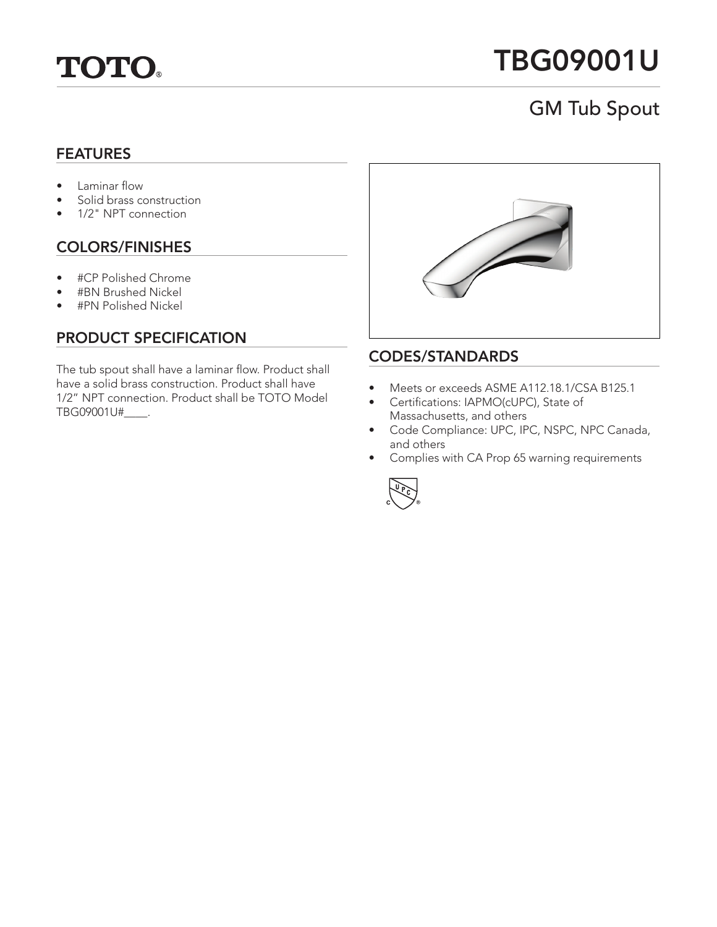

# TBG09001U

# GM Tub Spout

#### FEATURES

- Laminar flow
- Solid brass construction
- 1/2" NPT connection

## COLORS/FINISHES

- #CP Polished Chrome
- #BN Brushed Nickel
- #PN Polished Nickel

## PRODUCT SPECIFICATION

The tub spout shall have a laminar flow. Product shall have a solid brass construction. Product shall have 1/2" NPT connection. Product shall be TOTO Model TBG09001U#\_\_\_\_.



#### CODES/STANDARDS

- Meets or exceeds ASME A112.18.1/CSA B125.1
- Certifications: IAPMO(cUPC), State of Massachusetts, and others
- Code Compliance: UPC, IPC, NSPC, NPC Canada, and others
- Complies with CA Prop 65 warning requirements